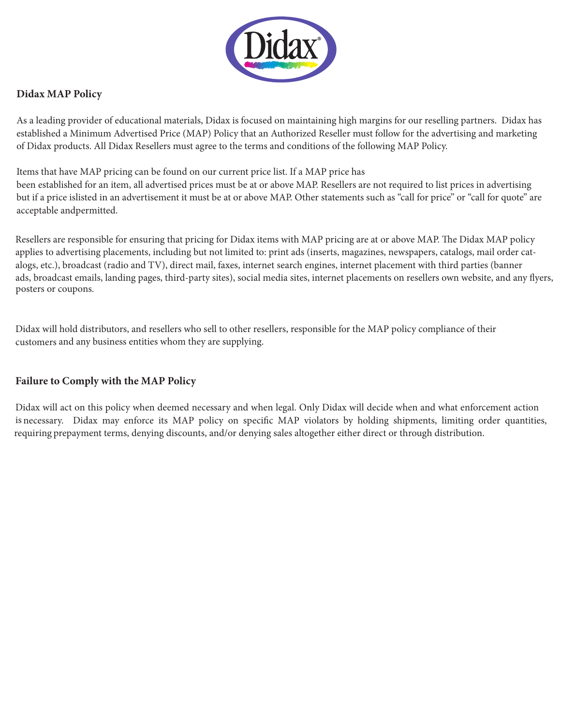

## **Didax MAP Policy**

of Didax products. All Didax Resellers must agree to the terms and conditions of the following MAP Policy. established a Minimum Advertised Price (MAP) Policy that an Authorized Reseller must follow for the advertising and marketing As a leading provider of educational materials, Didax is focused on maintaining high margins for our reselling partners. Didax has

acceptable andpermitted. but if a price islisted in an advertisement it must be at or above MAP. Other statements such as "call for price" or "call for quote" are Items that have MAP pricing can be found on our current price list. If a MAP price has been established for an item, all advertised prices must be at or above MAP. Resellers are not required to list prices in advertising

posters or coupons. ads, broadcast emails, landing pages, third-party sites), social media sites, internet placements on resellers own website, and any flyers, alogs, etc.), broadcast (radio and TV), direct mail, faxes, internet search engines, internet placement with third parties (banner applies to advertising placements, including but not limited to: print ads (inserts, magazines, newspapers, catalogs, mail order cat-Resellers are responsible for ensuring that pricing for Didax items with MAP pricing are at or above MAP. The Didax MAP policy

customers and any business entities whom they are supplying. Didax will hold distributors, and resellers who sell to other resellers, responsible for the MAP policy compliance of their

## **Failure to Comply with the MAP Policy**

requiring prepayment terms, denying discounts, and/or denying sales altogether either direct or through distribution. is necessary. Didax may enforce its MAP policy on specific MAP violators by holding shipments, limiting order quantities, Didax will act on this policy when deemed necessary and when legal. Only Didax will decide when and what enforcement action